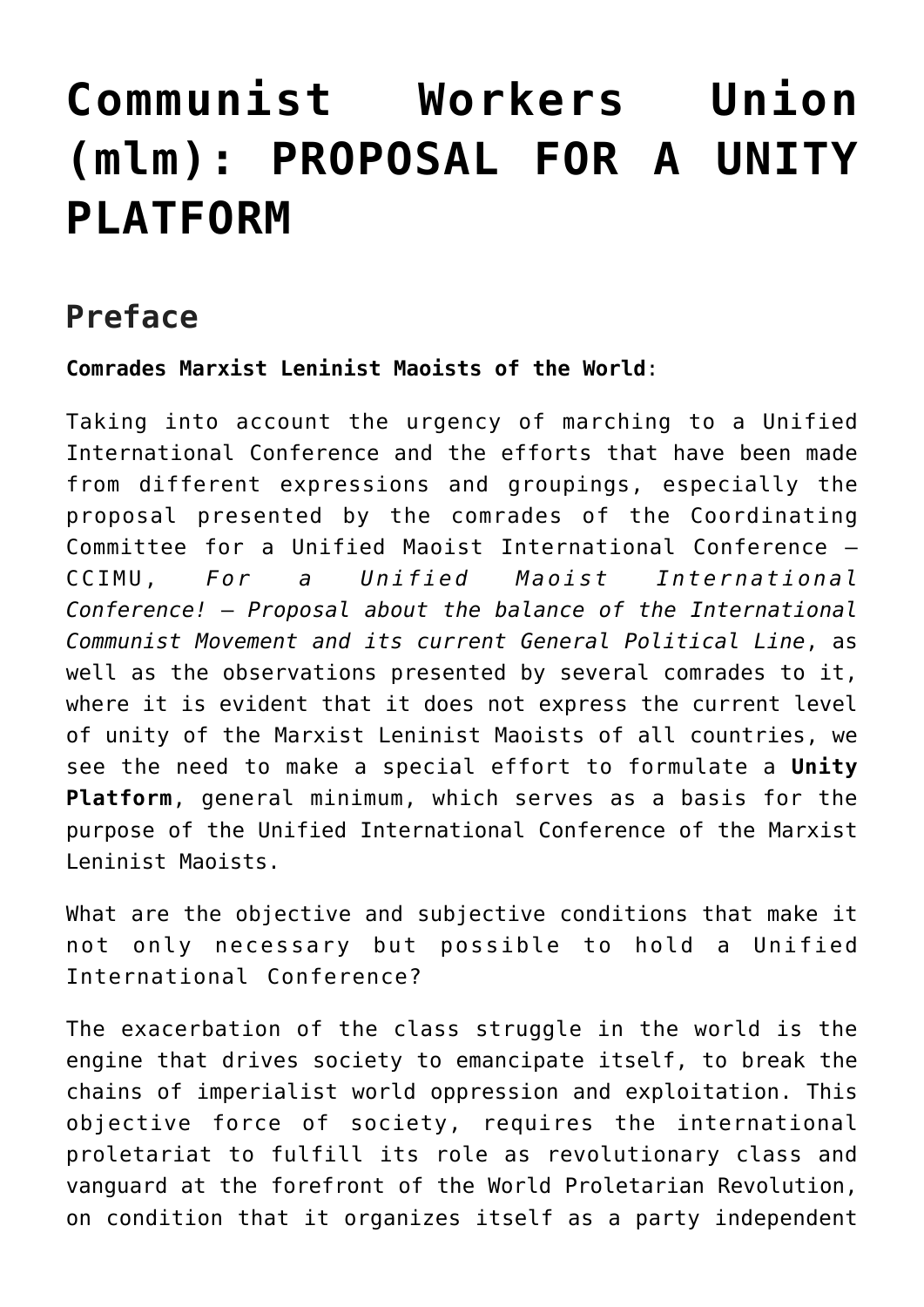## **[Communist Workers Union](https://ci-ic.org/blog/2022/01/03/communist-workers-union-mlm-proposal-for-a-unity-platform/) [\(mlm\): PROPOSAL FOR A UNITY](https://ci-ic.org/blog/2022/01/03/communist-workers-union-mlm-proposal-for-a-unity-platform/) [PLATFORM](https://ci-ic.org/blog/2022/01/03/communist-workers-union-mlm-proposal-for-a-unity-platform/)**

## **Preface**

**Comrades Marxist Leninist Maoists of the World**:

Taking into account the urgency of marching to a Unified International Conference and the efforts that have been made from different expressions and groupings, especially the proposal presented by the comrades of the Coordinating Committee for a Unified Maoist International Conference – CCIMU, *For a Unified Maoist International Conference!* – *Proposal about the balance of the International Communist Movement and its current General Political Line*, as well as the observations presented by several comrades to it, where it is evident that it does not express the current level of unity of the Marxist Leninist Maoists of all countries, we see the need to make a special effort to formulate a **Unity Platform**, general minimum, which serves as a basis for the purpose of the Unified International Conference of the Marxist Leninist Maoists.

What are the objective and subjective conditions that make it not only necessary but possible to hold a Unified International Conference?

The exacerbation of the class struggle in the world is the engine that drives society to emancipate itself, to break the chains of imperialist world oppression and exploitation. This objective force of society, requires the international proletariat to fulfill its role as revolutionary class and vanguard at the forefront of the World Proletarian Revolution, on condition that it organizes itself as a party independent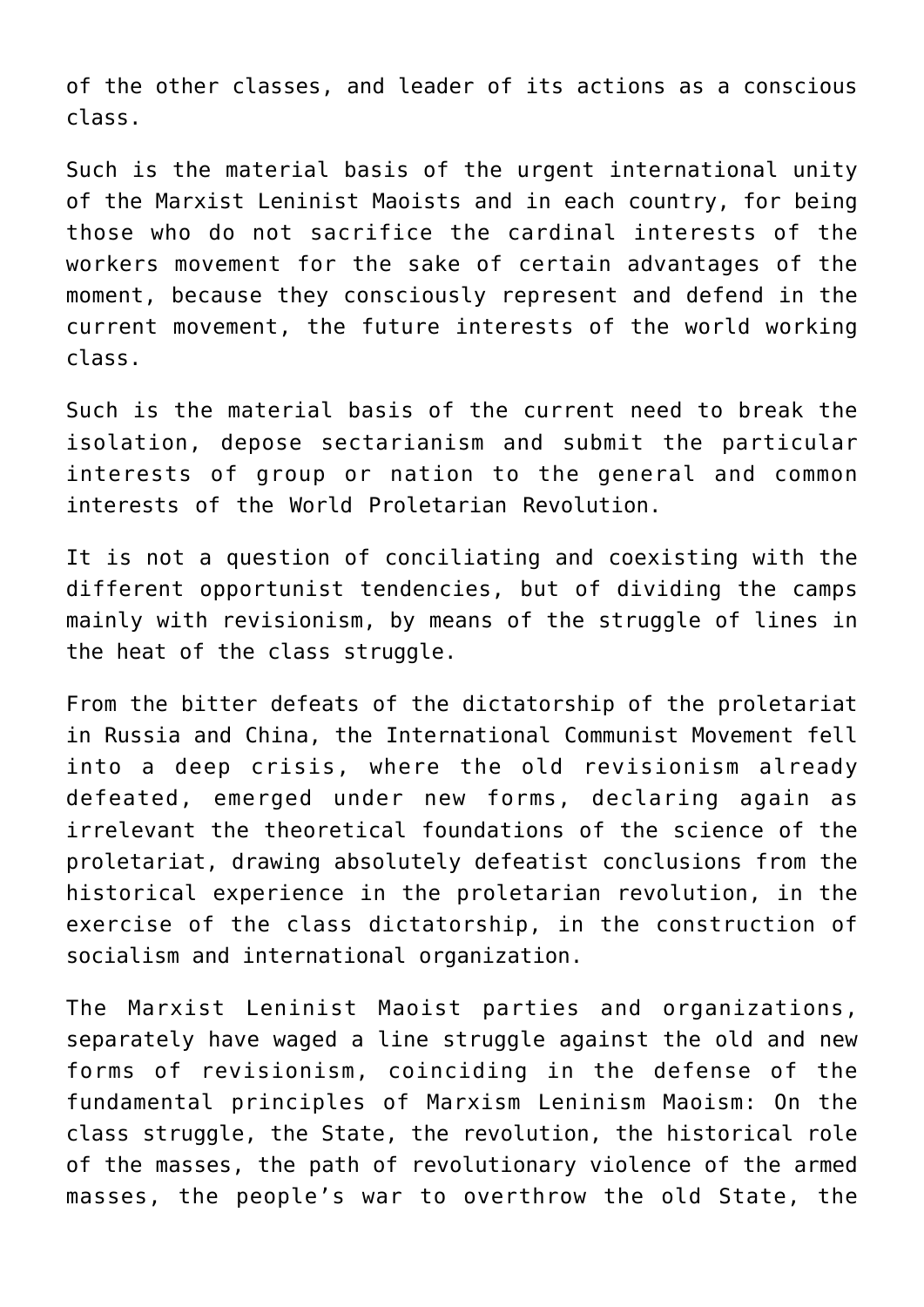of the other classes, and leader of its actions as a conscious class.

Such is the material basis of the urgent international unity of the Marxist Leninist Maoists and in each country, for being those who do not sacrifice the cardinal interests of the workers movement for the sake of certain advantages of the moment, because they consciously represent and defend in the current movement, the future interests of the world working class.

Such is the material basis of the current need to break the isolation, depose sectarianism and submit the particular interests of group or nation to the general and common interests of the World Proletarian Revolution.

It is not a question of conciliating and coexisting with the different opportunist tendencies, but of dividing the camps mainly with revisionism, by means of the struggle of lines in the heat of the class struggle.

From the bitter defeats of the dictatorship of the proletariat in Russia and China, the International Communist Movement fell into a deep crisis, where the old revisionism already defeated, emerged under new forms, declaring again as irrelevant the theoretical foundations of the science of the proletariat, drawing absolutely defeatist conclusions from the historical experience in the proletarian revolution, in the exercise of the class dictatorship, in the construction of socialism and international organization.

The Marxist Leninist Maoist parties and organizations, separately have waged a line struggle against the old and new forms of revisionism, coinciding in the defense of the fundamental principles of Marxism Leninism Maoism: On the class struggle, the State, the revolution, the historical role of the masses, the path of revolutionary violence of the armed masses, the people's war to overthrow the old State, the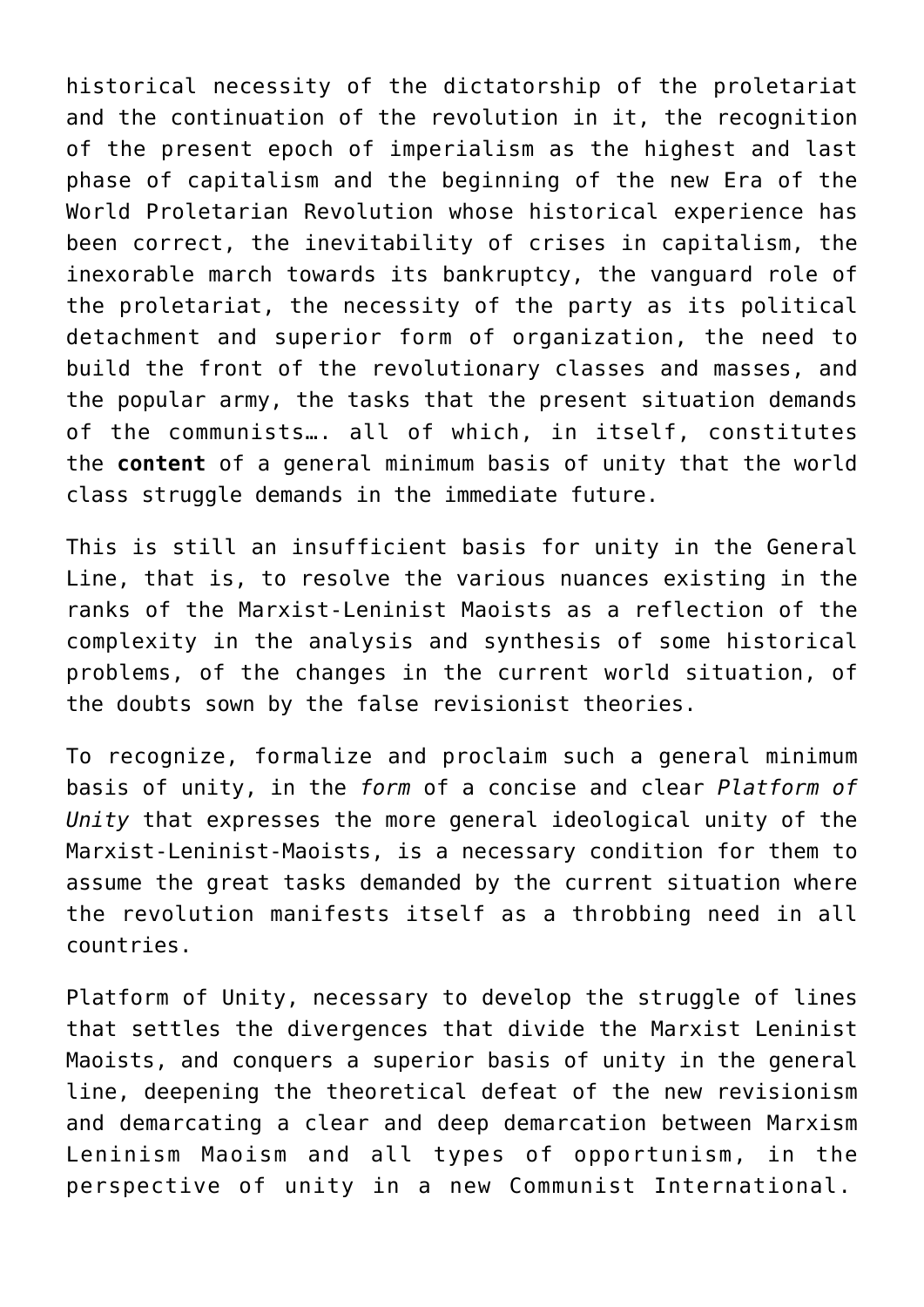historical necessity of the dictatorship of the proletariat and the continuation of the revolution in it, the recognition of the present epoch of imperialism as the highest and last phase of capitalism and the beginning of the new Era of the World Proletarian Revolution whose historical experience has been correct, the inevitability of crises in capitalism, the inexorable march towards its bankruptcy, the vanguard role of the proletariat, the necessity of the party as its political detachment and superior form of organization, the need to build the front of the revolutionary classes and masses, and the popular army, the tasks that the present situation demands of the communists…. all of which, in itself, constitutes the **content** of a general minimum basis of unity that the world class struggle demands in the immediate future.

This is still an insufficient basis for unity in the General Line, that is, to resolve the various nuances existing in the ranks of the Marxist-Leninist Maoists as a reflection of the complexity in the analysis and synthesis of some historical problems, of the changes in the current world situation, of the doubts sown by the false revisionist theories.

To recognize, formalize and proclaim such a general minimum basis of unity, in the *form* of a concise and clear *Platform of Unity* that expresses the more general ideological unity of the Marxist-Leninist-Maoists, is a necessary condition for them to assume the great tasks demanded by the current situation where the revolution manifests itself as a throbbing need in all countries.

Platform of Unity, necessary to develop the struggle of lines that settles the divergences that divide the Marxist Leninist Maoists, and conquers a superior basis of unity in the general line, deepening the theoretical defeat of the new revisionism and demarcating a clear and deep demarcation between Marxism Leninism Maoism and all types of opportunism, in the perspective of unity in a new Communist International.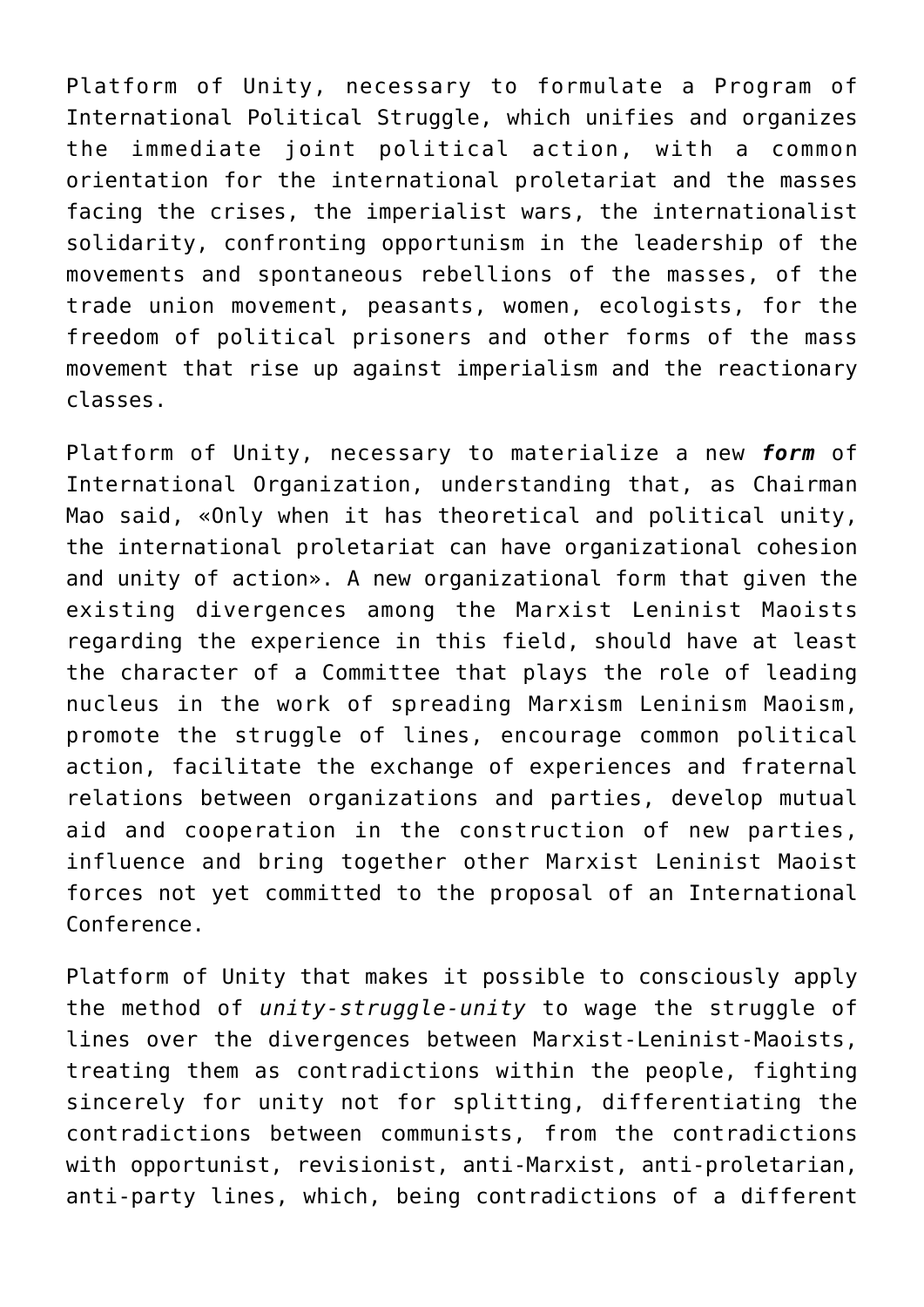Platform of Unity, necessary to formulate a Program of International Political Struggle, which unifies and organizes the immediate joint political action, with a common orientation for the international proletariat and the masses facing the crises, the imperialist wars, the internationalist solidarity, confronting opportunism in the leadership of the movements and spontaneous rebellions of the masses, of the trade union movement, peasants, women, ecologists, for the freedom of political prisoners and other forms of the mass movement that rise up against imperialism and the reactionary classes.

Platform of Unity, necessary to materialize a new *form* of International Organization, understanding that, as Chairman Mao said, «Only when it has theoretical and political unity, the international proletariat can have organizational cohesion and unity of action». A new organizational form that given the existing divergences among the Marxist Leninist Maoists regarding the experience in this field, should have at least the character of a Committee that plays the role of leading nucleus in the work of spreading Marxism Leninism Maoism, promote the struggle of lines, encourage common political action, facilitate the exchange of experiences and fraternal relations between organizations and parties, develop mutual aid and cooperation in the construction of new parties, influence and bring together other Marxist Leninist Maoist forces not yet committed to the proposal of an International Conference.

Platform of Unity that makes it possible to consciously apply the method of *unity-struggle-unity* to wage the struggle of lines over the divergences between Marxist-Leninist-Maoists, treating them as contradictions within the people, fighting sincerely for unity not for splitting, differentiating the contradictions between communists, from the contradictions with opportunist, revisionist, anti-Marxist, anti-proletarian, anti-party lines, which, being contradictions of a different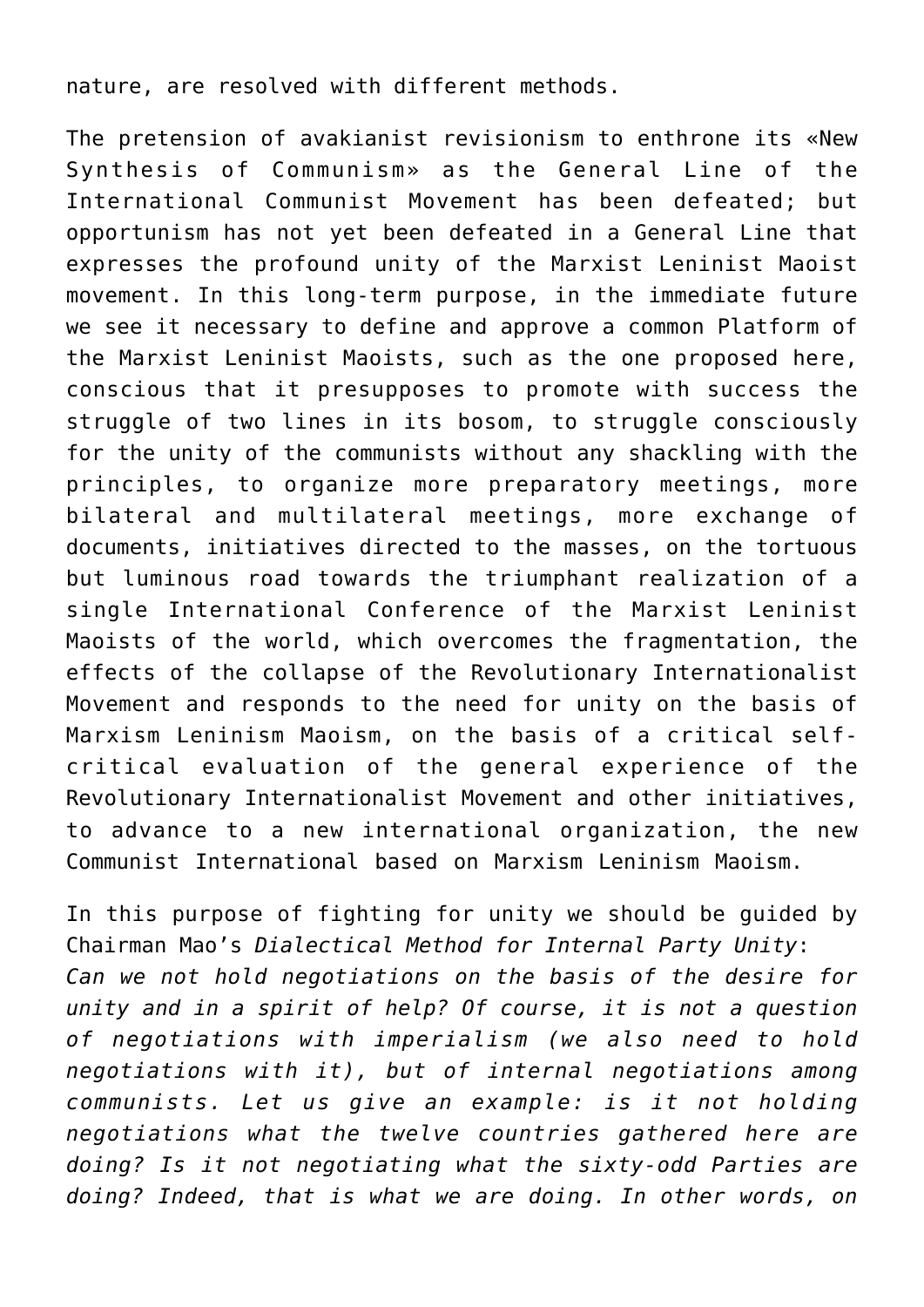nature, are resolved with different methods.

The pretension of avakianist revisionism to enthrone its «New Synthesis of Communism» as the General Line of the International Communist Movement has been defeated; but opportunism has not yet been defeated in a General Line that expresses the profound unity of the Marxist Leninist Maoist movement. In this long-term purpose, in the immediate future we see it necessary to define and approve a common Platform of the Marxist Leninist Maoists, such as the one proposed here, conscious that it presupposes to promote with success the struggle of two lines in its bosom, to struggle consciously for the unity of the communists without any shackling with the principles, to organize more preparatory meetings, more bilateral and multilateral meetings, more exchange of documents, initiatives directed to the masses, on the tortuous but luminous road towards the triumphant realization of a single International Conference of the Marxist Leninist Maoists of the world, which overcomes the fragmentation, the effects of the collapse of the Revolutionary Internationalist Movement and responds to the need for unity on the basis of Marxism Leninism Maoism, on the basis of a critical selfcritical evaluation of the general experience of the Revolutionary Internationalist Movement and other initiatives, to advance to a new international organization, the new Communist International based on Marxism Leninism Maoism.

In this purpose of fighting for unity we should be guided by Chairman Mao's *Dialectical Method for Internal Party Unity*: *Can we not hold negotiations on the basis of the desire for unity and in a spirit of help? Of course, it is not a question of negotiations with imperialism (we also need to hold negotiations with it), but of internal negotiations among communists. Let us give an example: is it not holding negotiations what the twelve countries gathered here are doing? Is it not negotiating what the sixty-odd Parties are doing? Indeed, that is what we are doing. In other words, on*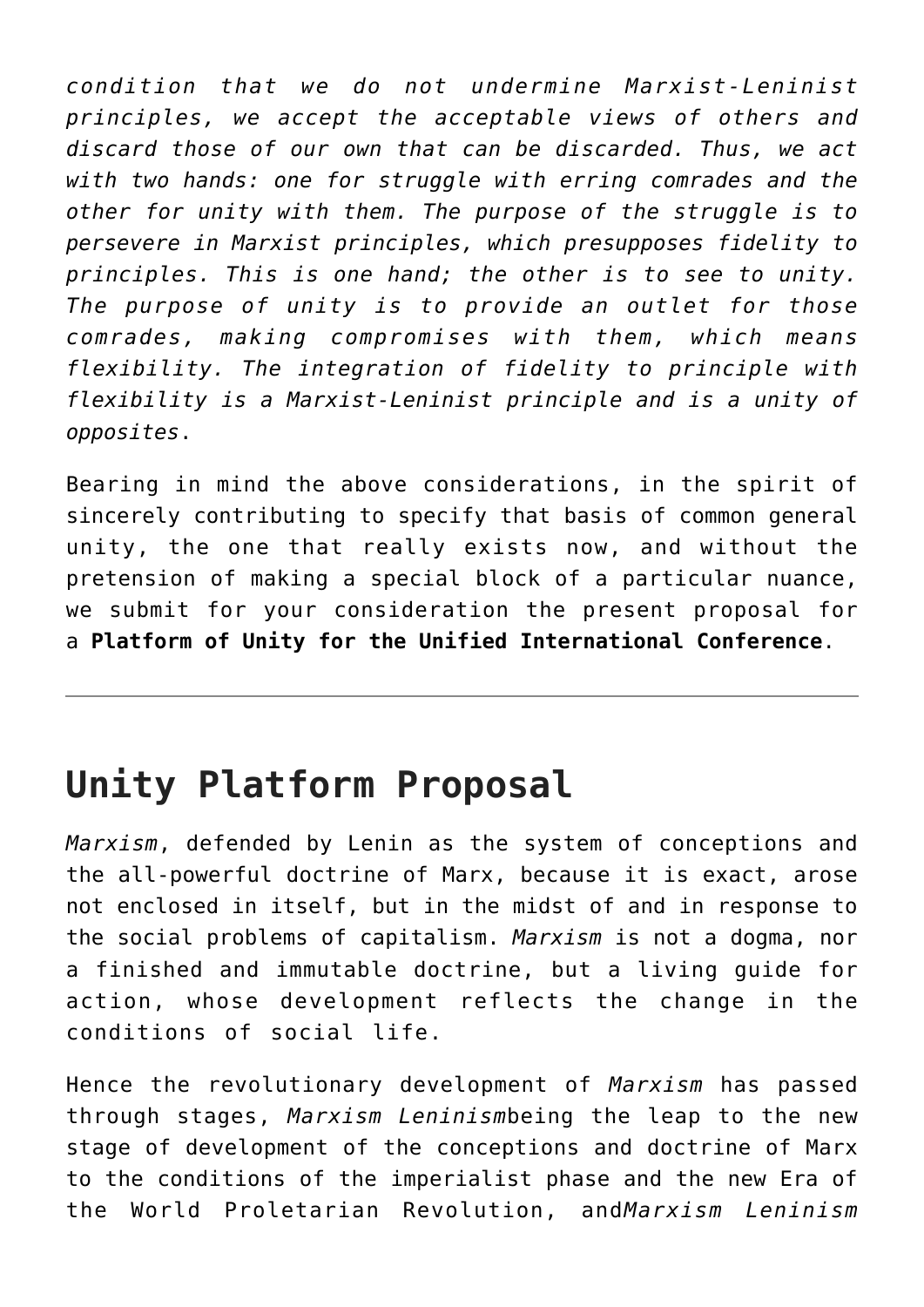*condition that we do not undermine Marxist-Leninist principles, we accept the acceptable views of others and discard those of our own that can be discarded. Thus, we act with two hands: one for struggle with erring comrades and the other for unity with them. The purpose of the struggle is to persevere in Marxist principles, which presupposes fidelity to principles. This is one hand; the other is to see to unity. The purpose of unity is to provide an outlet for those comrades, making compromises with them, which means flexibility. The integration of fidelity to principle with flexibility is a Marxist-Leninist principle and is a unity of opposites*.

Bearing in mind the above considerations, in the spirit of sincerely contributing to specify that basis of common general unity, the one that really exists now, and without the pretension of making a special block of a particular nuance, we submit for your consideration the present proposal for a **Platform of Unity for the Unified International Conference**.

## **Unity Platform Proposal**

*Marxism*, defended by Lenin as the system of conceptions and the all-powerful doctrine of Marx, because it is exact, arose not enclosed in itself, but in the midst of and in response to the social problems of capitalism. *Marxism* is not a dogma, nor a finished and immutable doctrine, but a living guide for action, whose development reflects the change in the conditions of social life.

Hence the revolutionary development of *Marxism* has passed through stages, *Marxism Leninism*being the leap to the new stage of development of the conceptions and doctrine of Marx to the conditions of the imperialist phase and the new Era of the World Proletarian Revolution, and*Marxism Leninism*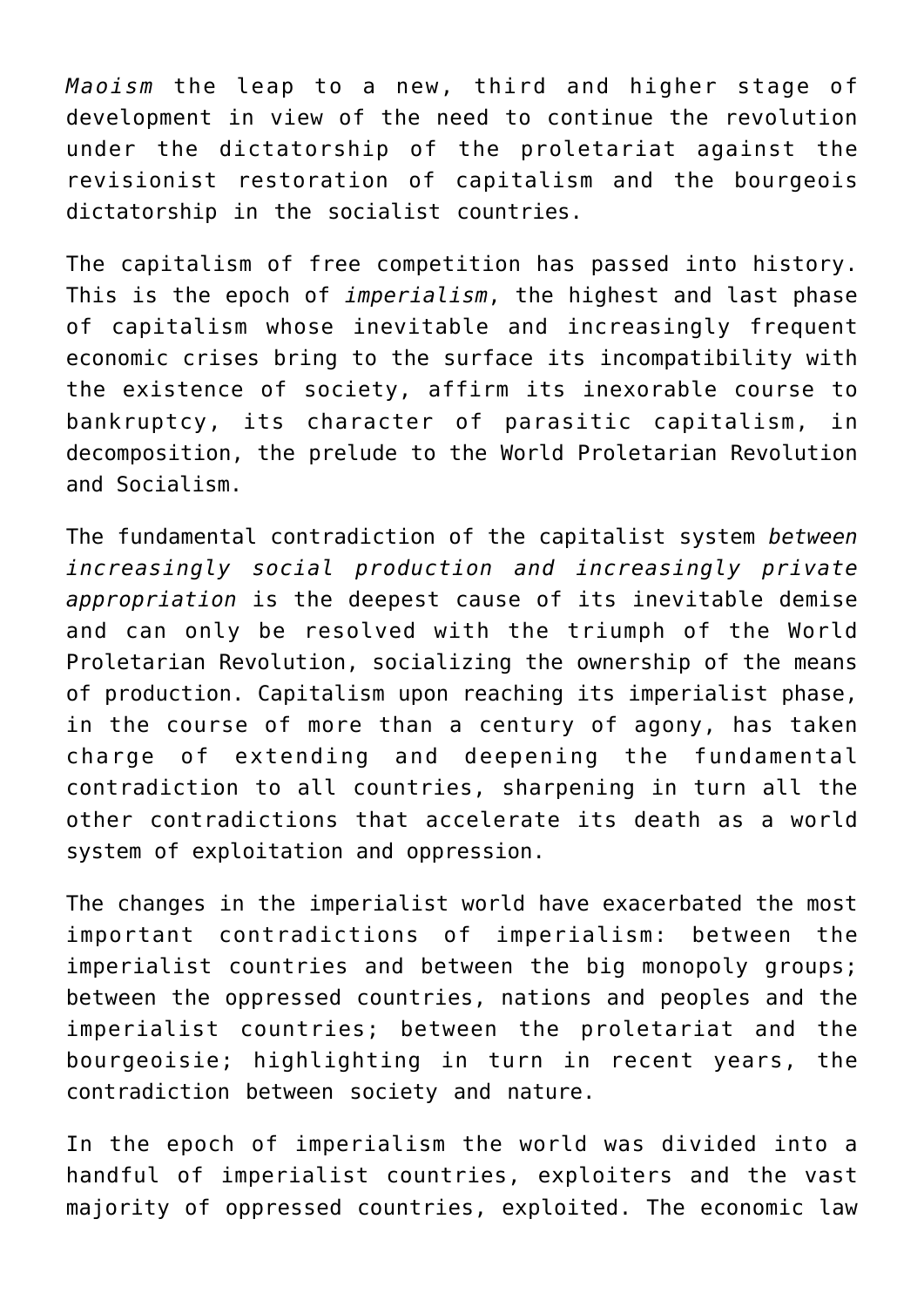*Maoism* the leap to a new, third and higher stage of development in view of the need to continue the revolution under the dictatorship of the proletariat against the revisionist restoration of capitalism and the bourgeois dictatorship in the socialist countries.

The capitalism of free competition has passed into history. This is the epoch of *imperialism*, the highest and last phase of capitalism whose inevitable and increasingly frequent economic crises bring to the surface its incompatibility with the existence of society, affirm its inexorable course to bankruptcy, its character of parasitic capitalism, in decomposition, the prelude to the World Proletarian Revolution and Socialism.

The fundamental contradiction of the capitalist system *between increasingly social production and increasingly private appropriation* is the deepest cause of its inevitable demise and can only be resolved with the triumph of the World Proletarian Revolution, socializing the ownership of the means of production. Capitalism upon reaching its imperialist phase, in the course of more than a century of agony, has taken charge of extending and deepening the fundamental contradiction to all countries, sharpening in turn all the other contradictions that accelerate its death as a world system of exploitation and oppression.

The changes in the imperialist world have exacerbated the most important contradictions of imperialism: between the imperialist countries and between the big monopoly groups; between the oppressed countries, nations and peoples and the imperialist countries; between the proletariat and the bourgeoisie; highlighting in turn in recent years, the contradiction between society and nature.

In the epoch of imperialism the world was divided into a handful of imperialist countries, exploiters and the vast majority of oppressed countries, exploited. The economic law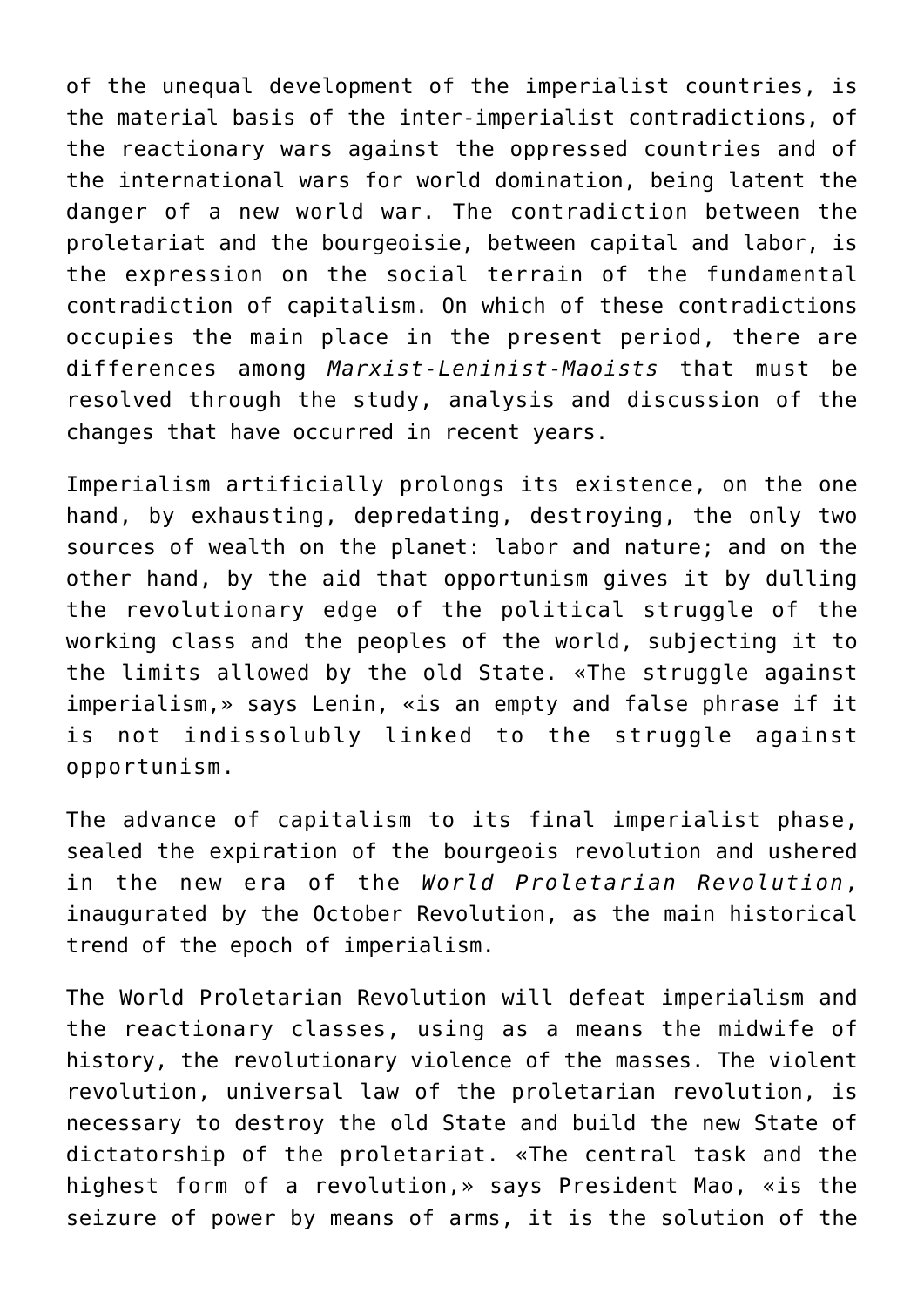of the unequal development of the imperialist countries, is the material basis of the inter-imperialist contradictions, of the reactionary wars against the oppressed countries and of the international wars for world domination, being latent the danger of a new world war. The contradiction between the proletariat and the bourgeoisie, between capital and labor, is the expression on the social terrain of the fundamental contradiction of capitalism. On which of these contradictions occupies the main place in the present period, there are differences among *Marxist-Leninist-Maoists* that must be resolved through the study, analysis and discussion of the changes that have occurred in recent years.

Imperialism artificially prolongs its existence, on the one hand, by exhausting, depredating, destroying, the only two sources of wealth on the planet: labor and nature; and on the other hand, by the aid that opportunism gives it by dulling the revolutionary edge of the political struggle of the working class and the peoples of the world, subjecting it to the limits allowed by the old State. «The struggle against imperialism,» says Lenin, «is an empty and false phrase if it is not indissolubly linked to the struggle against opportunism.

The advance of capitalism to its final imperialist phase, sealed the expiration of the bourgeois revolution and ushered in the new era of the *World Proletarian Revolution*, inaugurated by the October Revolution, as the main historical trend of the epoch of imperialism.

The World Proletarian Revolution will defeat imperialism and the reactionary classes, using as a means the midwife of history, the revolutionary violence of the masses. The violent revolution, universal law of the proletarian revolution, is necessary to destroy the old State and build the new State of dictatorship of the proletariat. «The central task and the highest form of a revolution,» says President Mao, «is the seizure of power by means of arms, it is the solution of the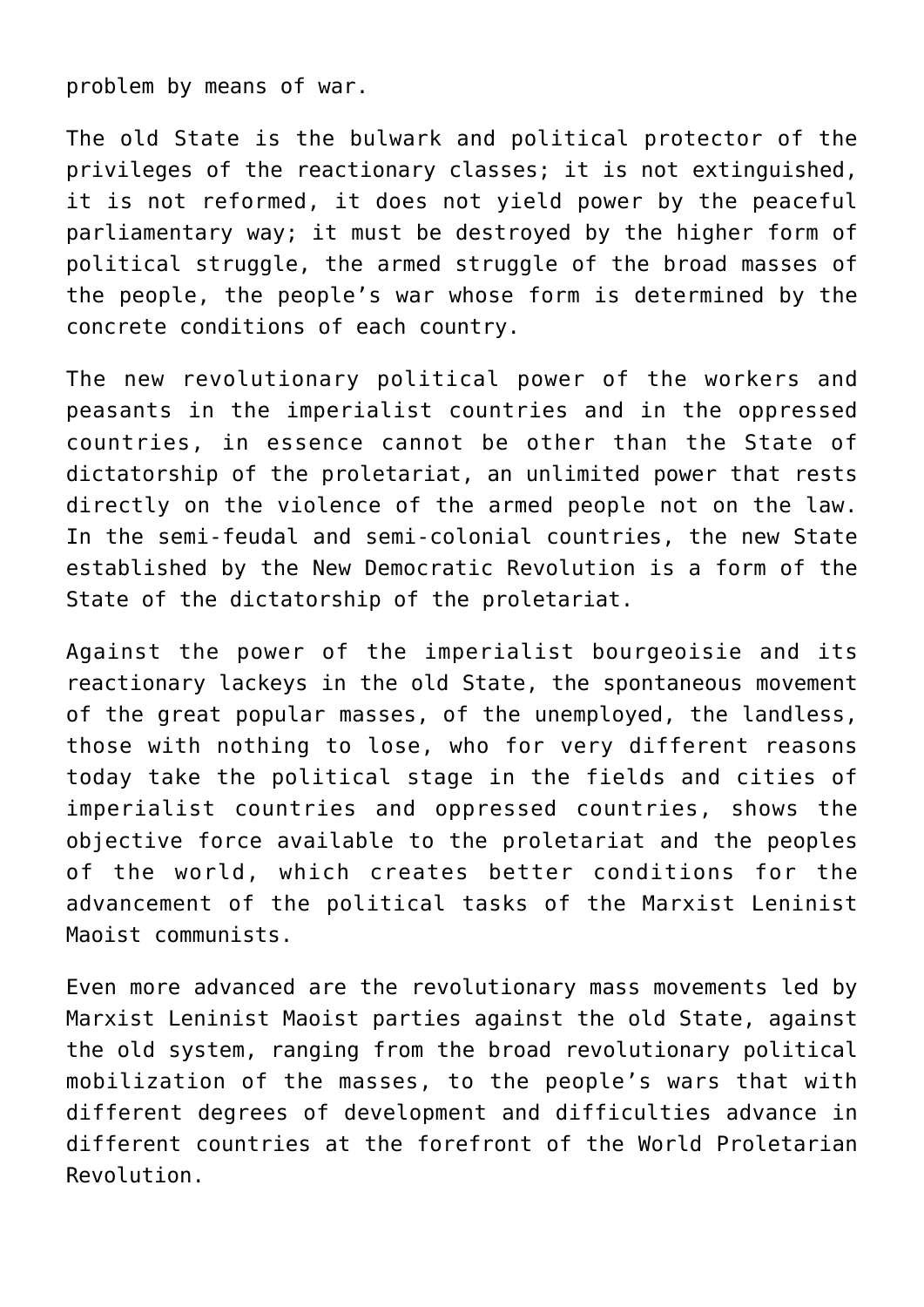problem by means of war.

The old State is the bulwark and political protector of the privileges of the reactionary classes; it is not extinguished, it is not reformed, it does not yield power by the peaceful parliamentary way; it must be destroyed by the higher form of political struggle, the armed struggle of the broad masses of the people, the people's war whose form is determined by the concrete conditions of each country.

The new revolutionary political power of the workers and peasants in the imperialist countries and in the oppressed countries, in essence cannot be other than the State of dictatorship of the proletariat, an unlimited power that rests directly on the violence of the armed people not on the law. In the semi-feudal and semi-colonial countries, the new State established by the New Democratic Revolution is a form of the State of the dictatorship of the proletariat.

Against the power of the imperialist bourgeoisie and its reactionary lackeys in the old State, the spontaneous movement of the great popular masses, of the unemployed, the landless, those with nothing to lose, who for very different reasons today take the political stage in the fields and cities of imperialist countries and oppressed countries, shows the objective force available to the proletariat and the peoples of the world, which creates better conditions for the advancement of the political tasks of the Marxist Leninist Maoist communists.

Even more advanced are the revolutionary mass movements led by Marxist Leninist Maoist parties against the old State, against the old system, ranging from the broad revolutionary political mobilization of the masses, to the people's wars that with different degrees of development and difficulties advance in different countries at the forefront of the World Proletarian Revolution.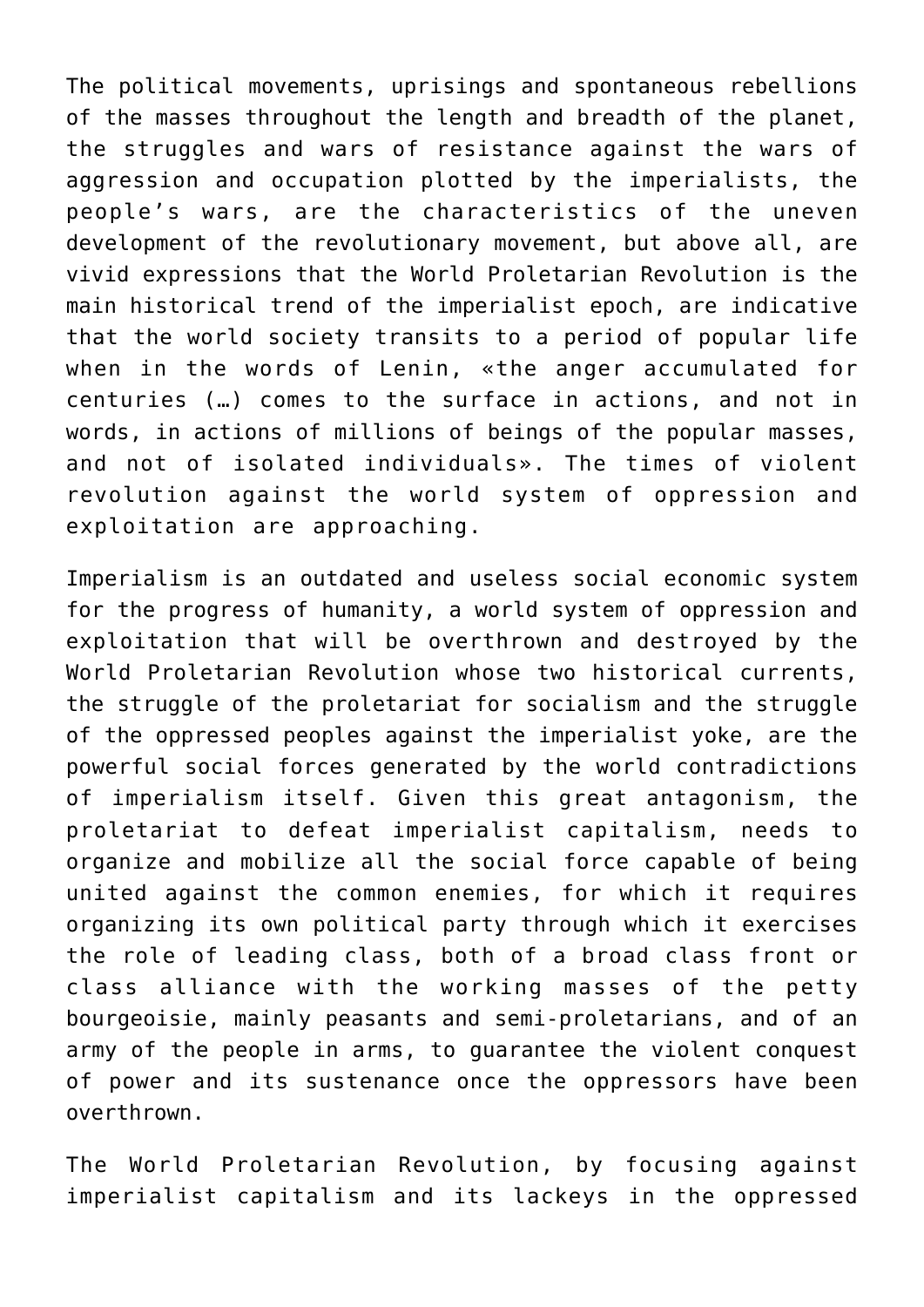The political movements, uprisings and spontaneous rebellions of the masses throughout the length and breadth of the planet, the struggles and wars of resistance against the wars of aggression and occupation plotted by the imperialists, the people's wars, are the characteristics of the uneven development of the revolutionary movement, but above all, are vivid expressions that the World Proletarian Revolution is the main historical trend of the imperialist epoch, are indicative that the world society transits to a period of popular life when in the words of Lenin, «the anger accumulated for centuries (…) comes to the surface in actions, and not in words, in actions of millions of beings of the popular masses, and not of isolated individuals». The times of violent revolution against the world system of oppression and exploitation are approaching.

Imperialism is an outdated and useless social economic system for the progress of humanity, a world system of oppression and exploitation that will be overthrown and destroyed by the World Proletarian Revolution whose two historical currents, the struggle of the proletariat for socialism and the struggle of the oppressed peoples against the imperialist yoke, are the powerful social forces generated by the world contradictions of imperialism itself. Given this great antagonism, the proletariat to defeat imperialist capitalism, needs to organize and mobilize all the social force capable of being united against the common enemies, for which it requires organizing its own political party through which it exercises the role of leading class, both of a broad class front or class alliance with the working masses of the petty bourgeoisie, mainly peasants and semi-proletarians, and of an army of the people in arms, to guarantee the violent conquest of power and its sustenance once the oppressors have been overthrown.

The World Proletarian Revolution, by focusing against imperialist capitalism and its lackeys in the oppressed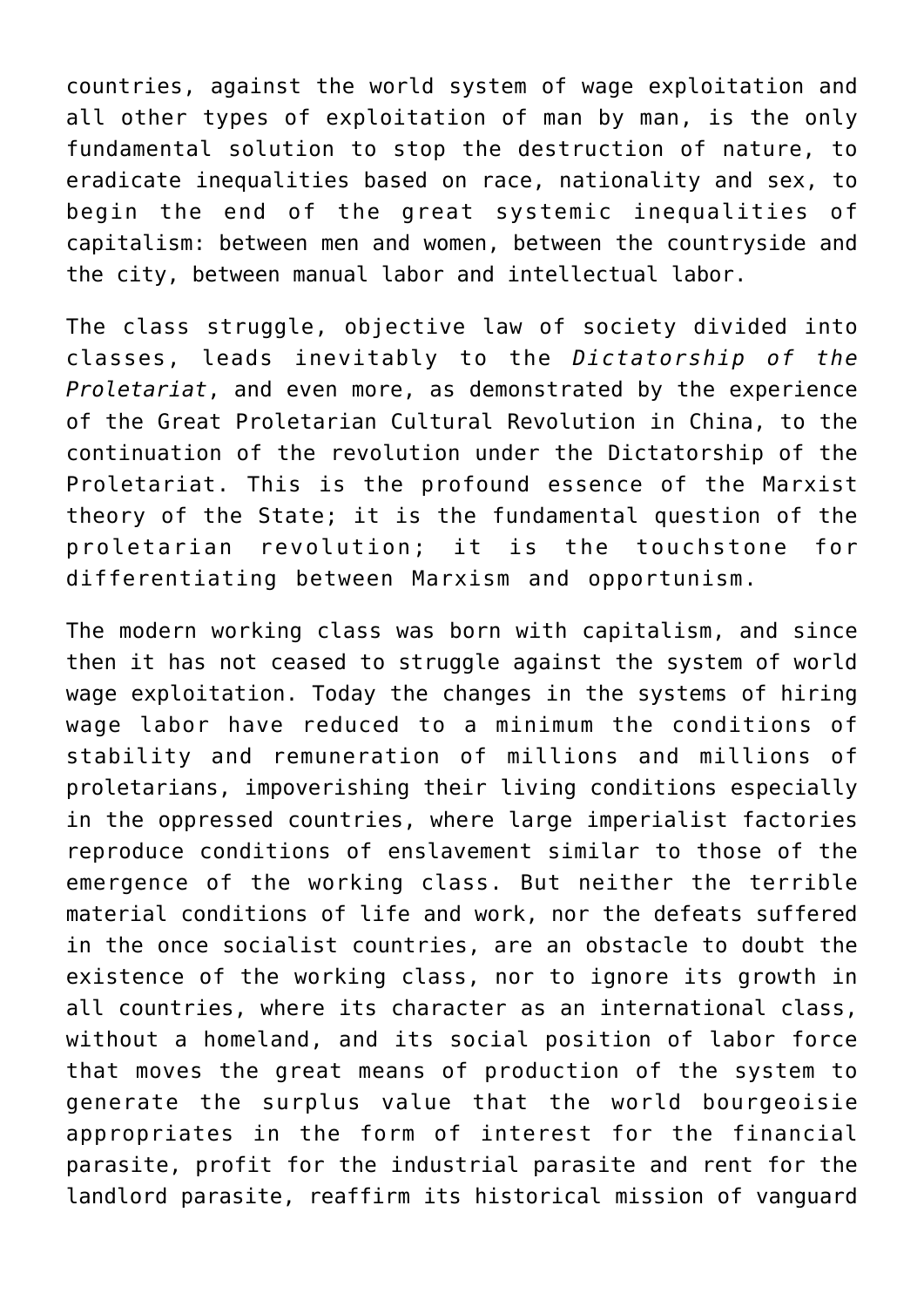countries, against the world system of wage exploitation and all other types of exploitation of man by man, is the only fundamental solution to stop the destruction of nature, to eradicate inequalities based on race, nationality and sex, to begin the end of the great systemic inequalities of capitalism: between men and women, between the countryside and the city, between manual labor and intellectual labor.

The class struggle, objective law of society divided into classes, leads inevitably to the *Dictatorship of the Proletariat*, and even more, as demonstrated by the experience of the Great Proletarian Cultural Revolution in China, to the continuation of the revolution under the Dictatorship of the Proletariat. This is the profound essence of the Marxist theory of the State; it is the fundamental question of the proletarian revolution; it is the touchstone for differentiating between Marxism and opportunism.

The modern working class was born with capitalism, and since then it has not ceased to struggle against the system of world wage exploitation. Today the changes in the systems of hiring wage labor have reduced to a minimum the conditions of stability and remuneration of millions and millions of proletarians, impoverishing their living conditions especially in the oppressed countries, where large imperialist factories reproduce conditions of enslavement similar to those of the emergence of the working class. But neither the terrible material conditions of life and work, nor the defeats suffered in the once socialist countries, are an obstacle to doubt the existence of the working class, nor to ignore its growth in all countries, where its character as an international class, without a homeland, and its social position of labor force that moves the great means of production of the system to generate the surplus value that the world bourgeoisie appropriates in the form of interest for the financial parasite, profit for the industrial parasite and rent for the landlord parasite, reaffirm its historical mission of vanguard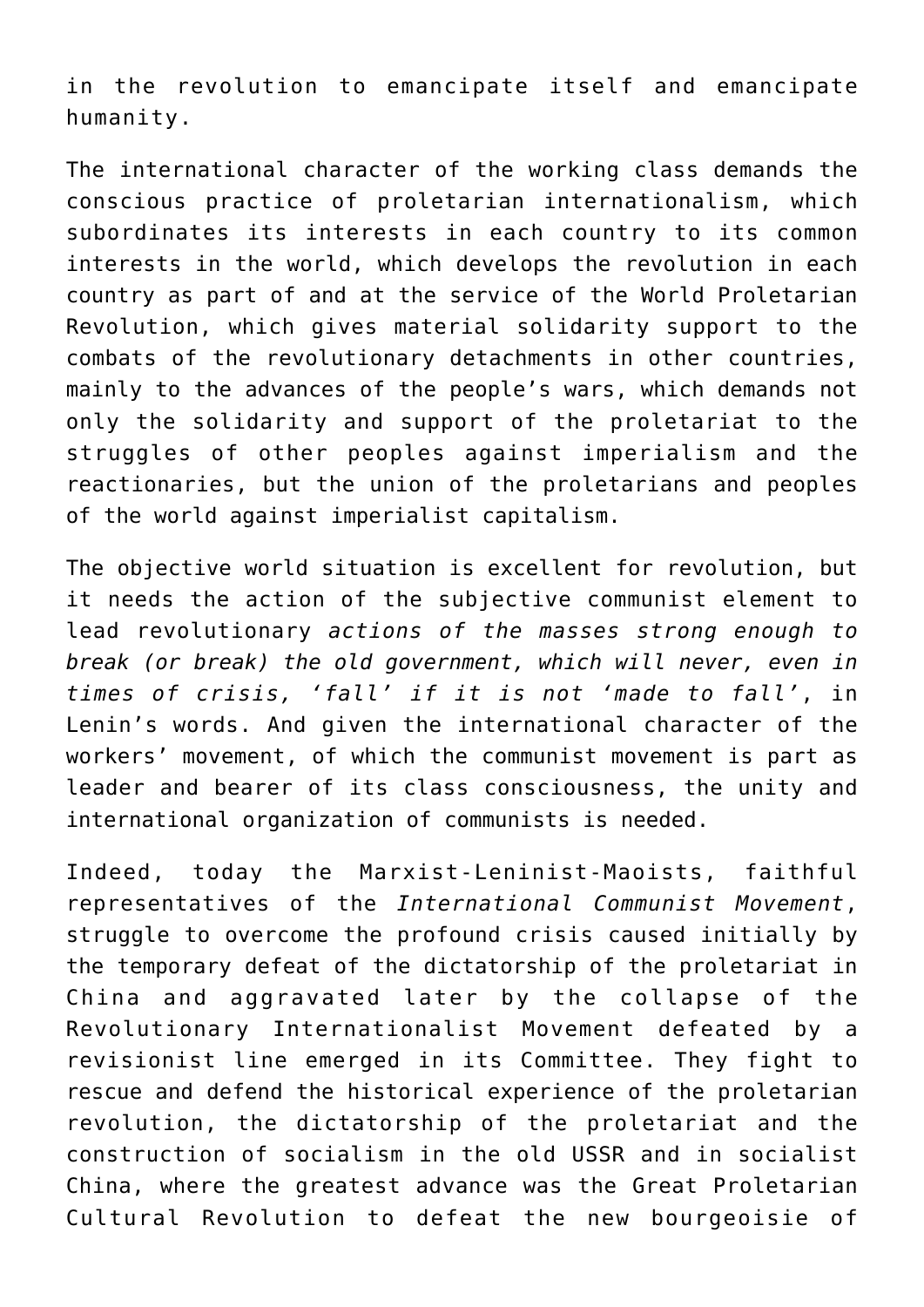in the revolution to emancipate itself and emancipate humanity.

The international character of the working class demands the conscious practice of proletarian internationalism, which subordinates its interests in each country to its common interests in the world, which develops the revolution in each country as part of and at the service of the World Proletarian Revolution, which gives material solidarity support to the combats of the revolutionary detachments in other countries, mainly to the advances of the people's wars, which demands not only the solidarity and support of the proletariat to the struggles of other peoples against imperialism and the reactionaries, but the union of the proletarians and peoples of the world against imperialist capitalism.

The objective world situation is excellent for revolution, but it needs the action of the subjective communist element to lead revolutionary *actions of the masses strong enough to break (or break) the old government, which will never, even in times of crisis, 'fall' if it is not 'made to fall'*, in Lenin's words. And given the international character of the workers' movement, of which the communist movement is part as leader and bearer of its class consciousness, the unity and international organization of communists is needed.

Indeed, today the Marxist-Leninist-Maoists, faithful representatives of the *International Communist Movement*, struggle to overcome the profound crisis caused initially by the temporary defeat of the dictatorship of the proletariat in China and aggravated later by the collapse of the Revolutionary Internationalist Movement defeated by a revisionist line emerged in its Committee. They fight to rescue and defend the historical experience of the proletarian revolution, the dictatorship of the proletariat and the construction of socialism in the old USSR and in socialist China, where the greatest advance was the Great Proletarian Cultural Revolution to defeat the new bourgeoisie of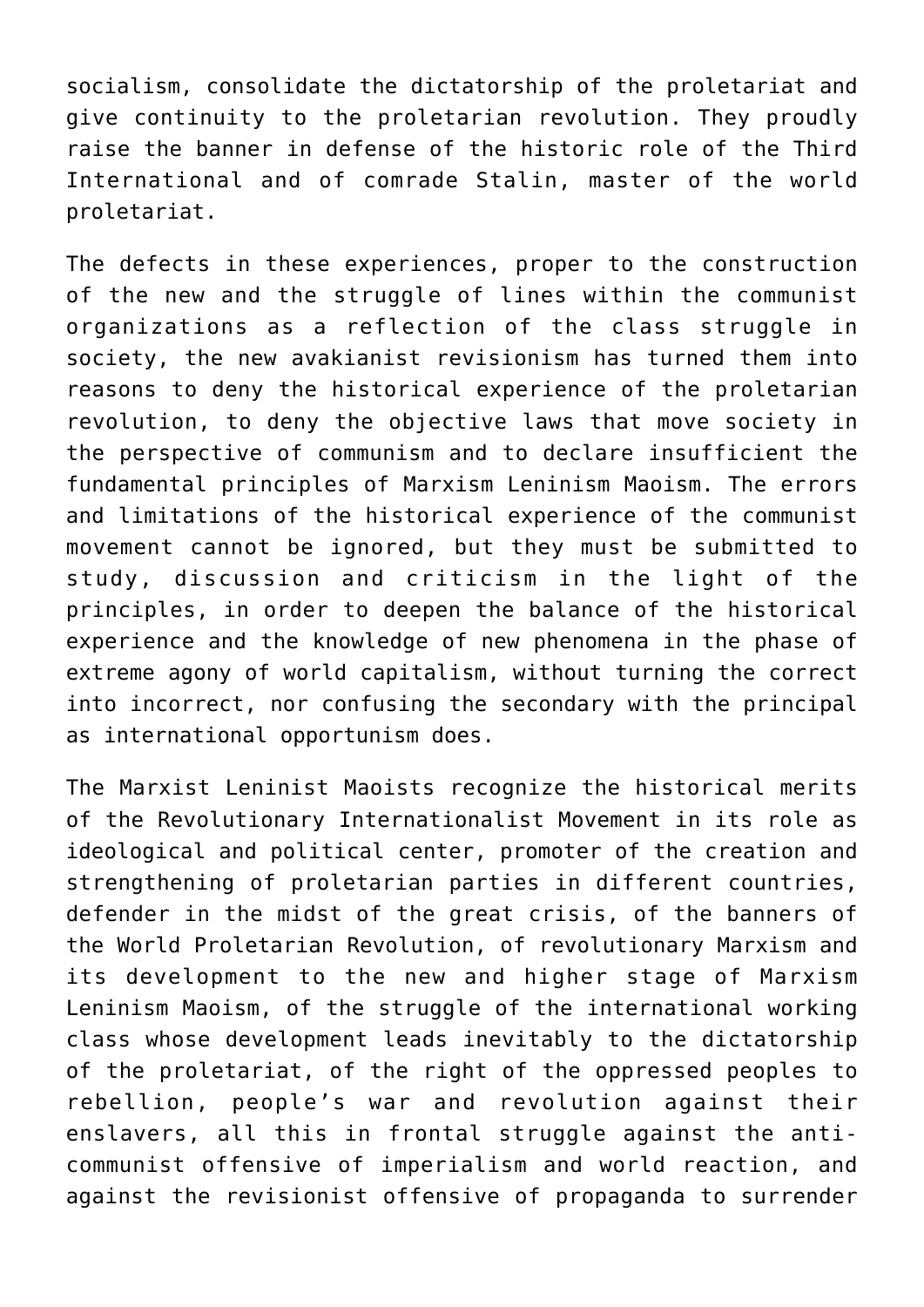socialism, consolidate the dictatorship of the proletariat and give continuity to the proletarian revolution. They proudly raise the banner in defense of the historic role of the Third International and of comrade Stalin, master of the world proletariat.

The defects in these experiences, proper to the construction of the new and the struggle of lines within the communist organizations as a reflection of the class struggle in society, the new avakianist revisionism has turned them into reasons to deny the historical experience of the proletarian revolution, to deny the objective laws that move society in the perspective of communism and to declare insufficient the fundamental principles of Marxism Leninism Maoism. The errors and limitations of the historical experience of the communist movement cannot be ignored, but they must be submitted to study, discussion and criticism in the light of the principles, in order to deepen the balance of the historical experience and the knowledge of new phenomena in the phase of extreme agony of world capitalism, without turning the correct into incorrect, nor confusing the secondary with the principal as international opportunism does.

The Marxist Leninist Maoists recognize the historical merits of the Revolutionary Internationalist Movement in its role as ideological and political center, promoter of the creation and strengthening of proletarian parties in different countries, defender in the midst of the great crisis, of the banners of the World Proletarian Revolution, of revolutionary Marxism and its development to the new and higher stage of Marxism Leninism Maoism, of the struggle of the international working class whose development leads inevitably to the dictatorship of the proletariat, of the right of the oppressed peoples to rebellion, people's war and revolution against their enslavers, all this in frontal struggle against the anticommunist offensive of imperialism and world reaction, and against the revisionist offensive of propaganda to surrender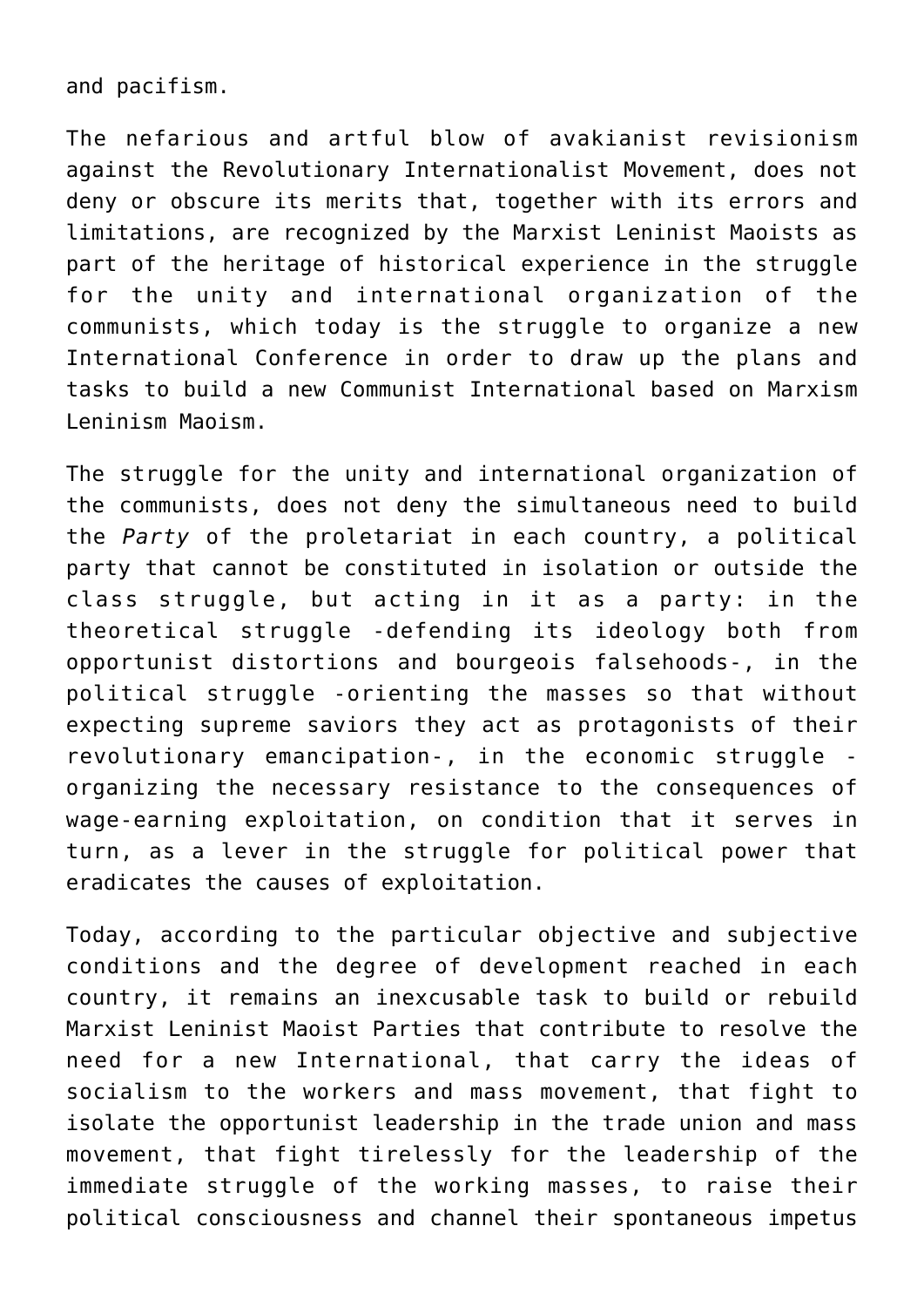and pacifism.

The nefarious and artful blow of avakianist revisionism against the Revolutionary Internationalist Movement, does not deny or obscure its merits that, together with its errors and limitations, are recognized by the Marxist Leninist Maoists as part of the heritage of historical experience in the struggle for the unity and international organization of the communists, which today is the struggle to organize a new International Conference in order to draw up the plans and tasks to build a new Communist International based on Marxism Leninism Maoism.

The struggle for the unity and international organization of the communists, does not deny the simultaneous need to build the *Party* of the proletariat in each country, a political party that cannot be constituted in isolation or outside the class struggle, but acting in it as a party: in the theoretical struggle -defending its ideology both from opportunist distortions and bourgeois falsehoods-, in the political struggle -orienting the masses so that without expecting supreme saviors they act as protagonists of their revolutionary emancipation-, in the economic struggle organizing the necessary resistance to the consequences of wage-earning exploitation, on condition that it serves in turn, as a lever in the struggle for political power that eradicates the causes of exploitation.

Today, according to the particular objective and subjective conditions and the degree of development reached in each country, it remains an inexcusable task to build or rebuild Marxist Leninist Maoist Parties that contribute to resolve the need for a new International, that carry the ideas of socialism to the workers and mass movement, that fight to isolate the opportunist leadership in the trade union and mass movement, that fight tirelessly for the leadership of the immediate struggle of the working masses, to raise their political consciousness and channel their spontaneous impetus